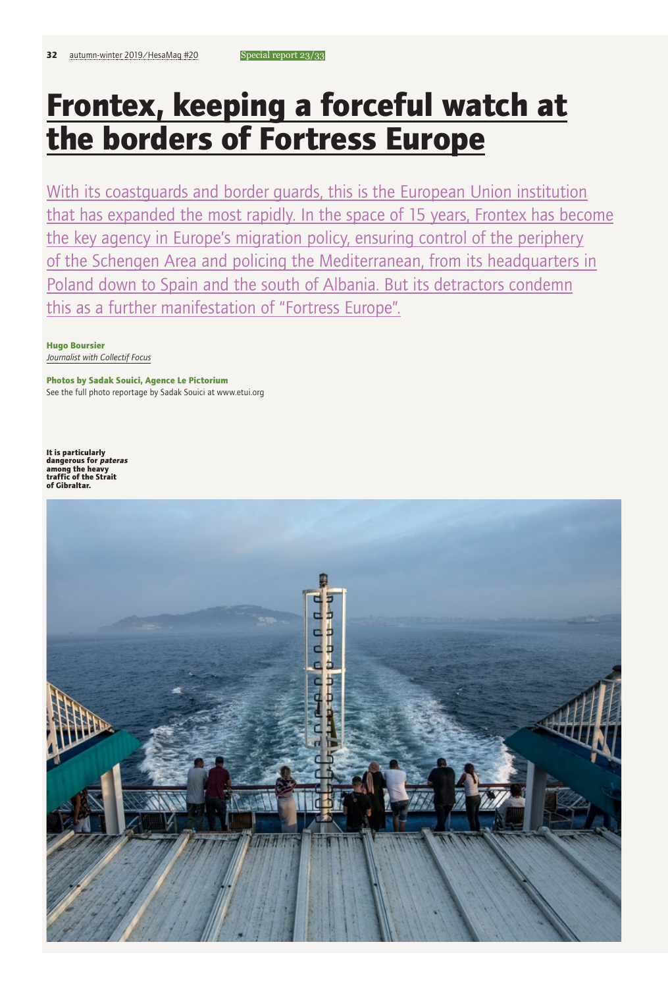# **Frontex, keeping a forceful watch at the borders of Fortress Europe**

With its coastguards and border guards, this is the European Union institution that has expanded the most rapidly. In the space of 15 years, Frontex has become the key agency in Europe's migration policy, ensuring control of the periphery of the Schengen Area and policing the Mediterranean, from its headquarters in Poland down to Spain and the south of Albania. But its detractors condemn this as a further manifestation of "Fortress Europe".

**Hugo Boursier** *Journalist with Collectif Focus*

**Photos by Sadak Souici, Agence Le Pictorium** See the full photo reportage by Sadak Souici at www.etui.org

**It is particularly dangerous for pateras among the heavy traffic of the Strait of Gibraltar.**

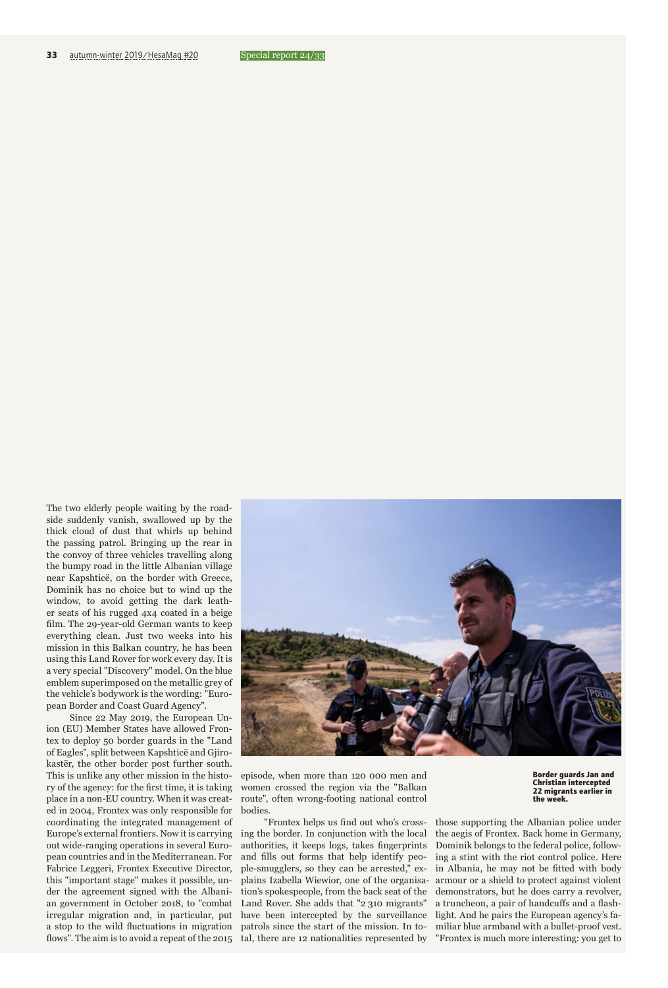The two elderly people waiting by the roadside suddenly vanish, swallowed up by the thick cloud of dust that whirls up behind the passing patrol. Bringing up the rear in the convoy of three vehicles travelling along the bumpy road in the little Albanian village near Kapshticë, on the border with Greece, Dominik has no choice but to wind up the window, to avoid getting the dark leather seats of his rugged 4x4 coated in a beige film. The 29-year-old German wants to keep everything clean. Just two weeks into his mission in this Balkan country, he has been using this Land Rover for work every day. It is a very special "Discovery" model. On the blue emblem superimposed on the metallic grey of the vehicle's bodywork is the wording: "European Border and Coast Guard Agency".

Since 22 May 2019, the European Union (EU) Member States have allowed Frontex to deploy 50 border guards in the "Land of Eagles", split between Kapshticë and Gjirokastër, the other border post further south. This is unlike any other mission in the history of the agency: for the first time, it is taking place in a non-EU country. When it was created in 2004, Frontex was only responsible for coordinating the integrated management of Europe's external frontiers. Now it is carrying out wide-ranging operations in several European countries and in the Mediterranean. For Fabrice Leggeri, Frontex Executive Director, this "important stage" makes it possible, under the agreement signed with the Albanian government in October 2018, to "combat irregular migration and, in particular, put a stop to the wild fluctuations in migration flows". The aim is to avoid a repeat of the 2015 tal, there are 12 nationalities represented by



episode, when more than 120 000 men and women crossed the region via the "Balkan route", often wrong-footing national control bodies.

"Frontex helps us find out who's crossing the border. In conjunction with the local authorities, it keeps logs, takes fingerprints and fills out forms that help identify people-smugglers, so they can be arrested," explains Izabella Wiewior, one of the organisation's spokespeople, from the back seat of the Land Rover. She adds that "2 310 migrants" have been intercepted by the surveillance patrols since the start of the mission. In to-

**Border guards Jan and Christian intercepted 22 migrants earlier in the week.** 

those supporting the Albanian police under the aegis of Frontex. Back home in Germany, Dominik belongs to the federal police, following a stint with the riot control police. Here in Albania, he may not be fitted with body armour or a shield to protect against violent demonstrators, but he does carry a revolver, a truncheon, a pair of handcuffs and a flashlight. And he pairs the European agency's familiar blue armband with a bullet-proof vest. "Frontex is much more interesting: you get to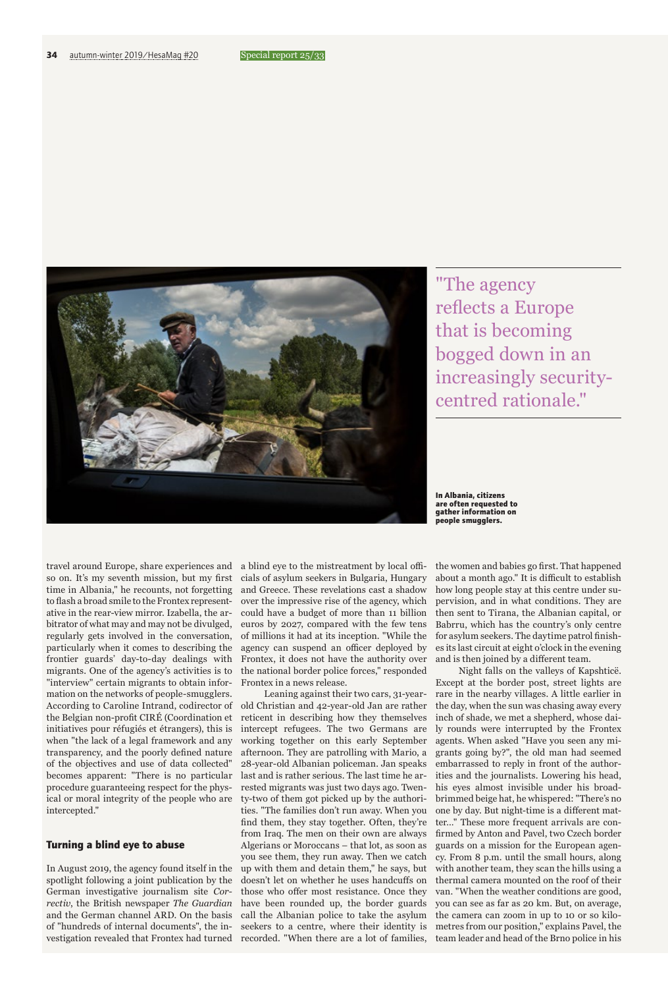

"The agency reflects a Europe that is becoming bogged down in an increasingly securitycentred rationale."

**In Albania, citizens are often requested to gather information on people smugglers.**

travel around Europe, share experiences and so on. It's my seventh mission, but my first time in Albania," he recounts, not forgetting to flash a broad smile to the Frontex representative in the rear-view mirror. Izabella, the arbitrator of what may and may not be divulged, regularly gets involved in the conversation, particularly when it comes to describing the frontier guards' day-to-day dealings with migrants. One of the agency's activities is to "interview" certain migrants to obtain information on the networks of people-smugglers. According to Caroline Intrand, codirector of the Belgian non-profit CIRÉ (Coordination et initiatives pour réfugiés et étrangers), this is when "the lack of a legal framework and any transparency, and the poorly defined nature of the objectives and use of data collected" becomes apparent: "There is no particular procedure guaranteeing respect for the physical or moral integrity of the people who are intercepted."

## **Turning a blind eye to abuse**

In August 2019, the agency found itself in the spotlight following a joint publication by the German investigative journalism site *Correctiv*, the British newspaper *The Guardian* and the German channel ARD. On the basis of "hundreds of internal documents", the investigation revealed that Frontex had turned recorded. "When there are a lot of families,

a blind eye to the mistreatment by local officials of asylum seekers in Bulgaria, Hungary and Greece. These revelations cast a shadow over the impressive rise of the agency, which could have a budget of more than 11 billion euros by 2027, compared with the few tens of millions it had at its inception. "While the agency can suspend an officer deployed by Frontex, it does not have the authority over the national border police forces," responded Frontex in a news release.

Leaning against their two cars, 31-yearold Christian and 42-year-old Jan are rather reticent in describing how they themselves intercept refugees. The two Germans are working together on this early September afternoon. They are patrolling with Mario, a 28-year-old Albanian policeman. Jan speaks last and is rather serious. The last time he arrested migrants was just two days ago. Twenty-two of them got picked up by the authorities. "The families don't run away. When you find them, they stay together. Often, they're from Iraq. The men on their own are always Algerians or Moroccans – that lot, as soon as you see them, they run away. Then we catch up with them and detain them," he says, but doesn't let on whether he uses handcuffs on those who offer most resistance. Once they have been rounded up, the border guards call the Albanian police to take the asylum seekers to a centre, where their identity is

the women and babies go first. That happened about a month ago." It is difficult to establish how long people stay at this centre under supervision, and in what conditions. They are then sent to Tirana, the Albanian capital, or Babrru, which has the country's only centre for asylum seekers. The daytime patrol finishes its last circuit at eight o'clock in the evening and is then joined by a different team.

Night falls on the valleys of Kapshticë. Except at the border post, street lights are rare in the nearby villages. A little earlier in the day, when the sun was chasing away every inch of shade, we met a shepherd, whose daily rounds were interrupted by the Frontex agents. When asked "Have you seen any migrants going by?", the old man had seemed embarrassed to reply in front of the authorities and the journalists. Lowering his head, his eyes almost invisible under his broadbrimmed beige hat, he whispered: "There's no one by day. But night-time is a different matter…" These more frequent arrivals are confirmed by Anton and Pavel, two Czech border guards on a mission for the European agency. From 8 p.m. until the small hours, along with another team, they scan the hills using a thermal camera mounted on the roof of their van. "When the weather conditions are good, you can see as far as 20 km. But, on average, the camera can zoom in up to 10 or so kilometres from our position," explains Pavel, the team leader and head of the Brno police in his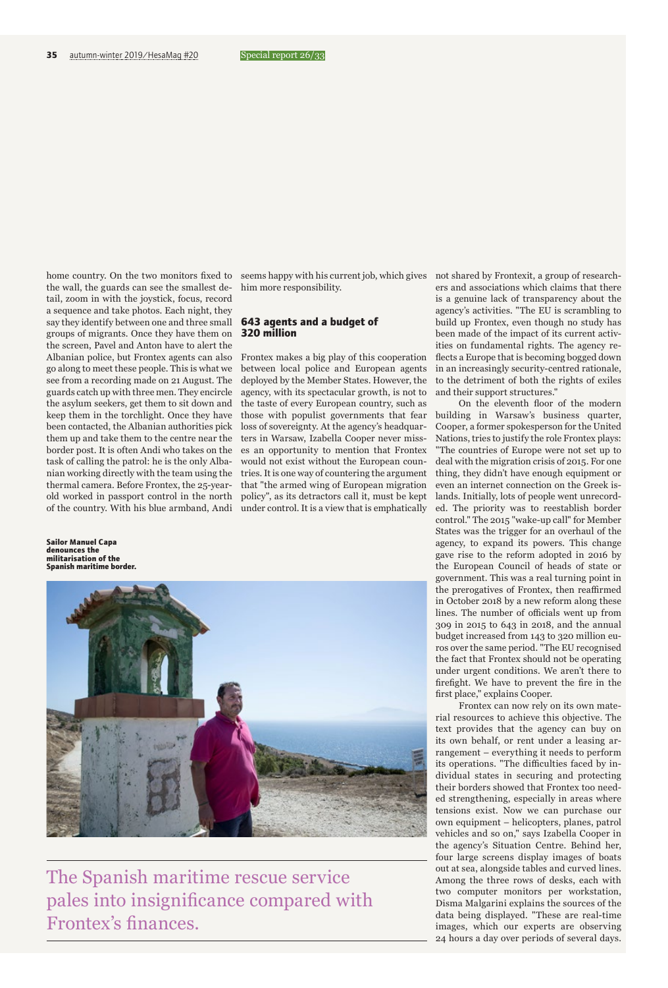home country. On the two monitors fixed to seems happy with his current job, which gives not shared by Frontexit, a group of researchthe wall, the guards can see the smallest detail, zoom in with the joystick, focus, record a sequence and take photos. Each night, they say they identify between one and three small groups of migrants. Once they have them on the screen, Pavel and Anton have to alert the Albanian police, but Frontex agents can also go along to meet these people. This is what we see from a recording made on 21 August. The guards catch up with three men. They encircle the asylum seekers, get them to sit down and keep them in the torchlight. Once they have been contacted, the Albanian authorities pick them up and take them to the centre near the border post. It is often Andi who takes on the task of calling the patrol: he is the only Albanian working directly with the team using the thermal camera. Before Frontex, the 25-yearold worked in passport control in the north of the country. With his blue armband, Andi

**Sailor Manuel Capa denounces the militarisation of the Spanish maritime border.**

him more responsibility.

### **643 agents and a budget of 320 million**

Frontex makes a big play of this cooperation between local police and European agents deployed by the Member States. However, the agency, with its spectacular growth, is not to the taste of every European country, such as those with populist governments that fear loss of sovereignty. At the agency's headquarters in Warsaw, Izabella Cooper never misses an opportunity to mention that Frontex would not exist without the European countries. It is one way of countering the argument that "the armed wing of European migration policy", as its detractors call it, must be kept under control. It is a view that is emphatically



The Spanish maritime rescue service pales into insignificance compared with Frontex's finances.

ers and associations which claims that there is a genuine lack of transparency about the agency's activities. "The EU is scrambling to build up Frontex, even though no study has been made of the impact of its current activities on fundamental rights. The agency reflects a Europe that is becoming bogged down in an increasingly security-centred rationale, to the detriment of both the rights of exiles and their support structures."

On the eleventh floor of the modern building in Warsaw's business quarter, Cooper, a former spokesperson for the United Nations, tries to justify the role Frontex plays: "The countries of Europe were not set up to deal with the migration crisis of 2015. For one thing, they didn't have enough equipment or even an internet connection on the Greek islands. Initially, lots of people went unrecorded. The priority was to reestablish border control." The 2015 "wake-up call" for Member States was the trigger for an overhaul of the agency, to expand its powers. This change gave rise to the reform adopted in 2016 by the European Council of heads of state or government. This was a real turning point in the prerogatives of Frontex, then reaffirmed in October 2018 by a new reform along these lines. The number of officials went up from 309 in 2015 to 643 in 2018, and the annual budget increased from 143 to 320 million euros over the same period. "The EU recognised the fact that Frontex should not be operating under urgent conditions. We aren't there to firefight. We have to prevent the fire in the first place," explains Cooper.

Frontex can now rely on its own material resources to achieve this objective. The text provides that the agency can buy on its own behalf, or rent under a leasing arrangement – everything it needs to perform its operations. "The difficulties faced by individual states in securing and protecting their borders showed that Frontex too needed strengthening, especially in areas where tensions exist. Now we can purchase our own equipment – helicopters, planes, patrol vehicles and so on," says Izabella Cooper in the agency's Situation Centre. Behind her, four large screens display images of boats out at sea, alongside tables and curved lines. Among the three rows of desks, each with two computer monitors per workstation, Disma Malgarini explains the sources of the data being displayed. "These are real-time images, which our experts are observing 24 hours a day over periods of several days.